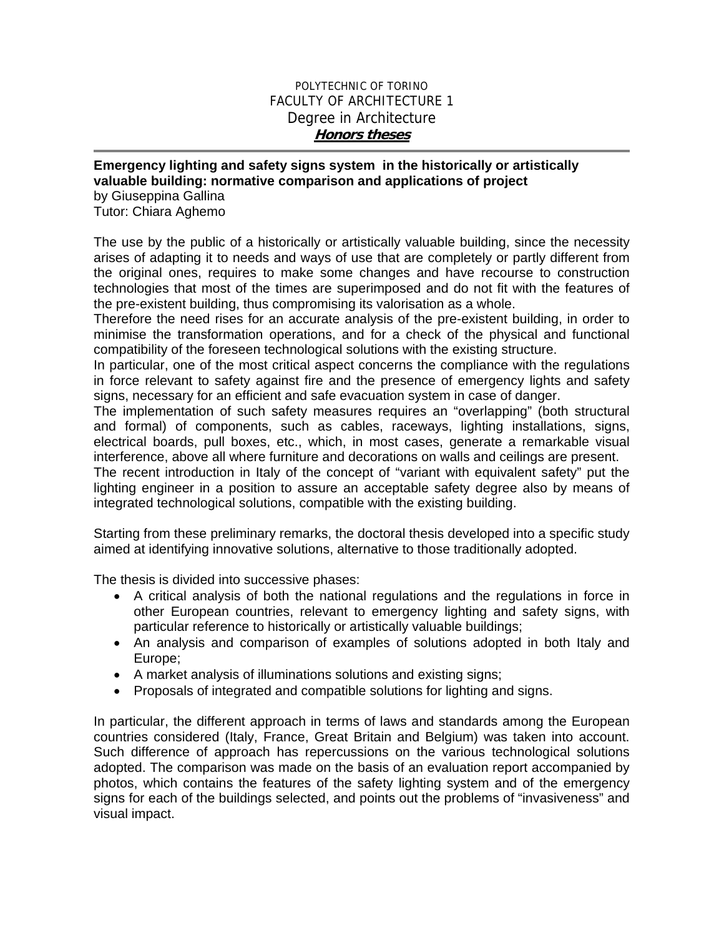## POLYTECHNIC OF TORINO FACULTY OF ARCHITECTURE 1 Degree in Architecture **Honors theses**

## **Emergency lighting and safety signs system in the historically or artistically valuable building: normative comparison and applications of project**

by Giuseppina Gallina Tutor: Chiara Aghemo

The use by the public of a historically or artistically valuable building, since the necessity arises of adapting it to needs and ways of use that are completely or partly different from the original ones, requires to make some changes and have recourse to construction technologies that most of the times are superimposed and do not fit with the features of the pre-existent building, thus compromising its valorisation as a whole.

Therefore the need rises for an accurate analysis of the pre-existent building, in order to minimise the transformation operations, and for a check of the physical and functional compatibility of the foreseen technological solutions with the existing structure.

In particular, one of the most critical aspect concerns the compliance with the regulations in force relevant to safety against fire and the presence of emergency lights and safety signs, necessary for an efficient and safe evacuation system in case of danger.

The implementation of such safety measures requires an "overlapping" (both structural and formal) of components, such as cables, raceways, lighting installations, signs, electrical boards, pull boxes, etc., which, in most cases, generate a remarkable visual interference, above all where furniture and decorations on walls and ceilings are present.

The recent introduction in Italy of the concept of "variant with equivalent safety" put the lighting engineer in a position to assure an acceptable safety degree also by means of integrated technological solutions, compatible with the existing building.

Starting from these preliminary remarks, the doctoral thesis developed into a specific study aimed at identifying innovative solutions, alternative to those traditionally adopted.

The thesis is divided into successive phases:

- A critical analysis of both the national regulations and the regulations in force in other European countries, relevant to emergency lighting and safety signs, with particular reference to historically or artistically valuable buildings;
- An analysis and comparison of examples of solutions adopted in both Italy and Europe;
- A market analysis of illuminations solutions and existing signs;
- Proposals of integrated and compatible solutions for lighting and signs.

In particular, the different approach in terms of laws and standards among the European countries considered (Italy, France, Great Britain and Belgium) was taken into account. Such difference of approach has repercussions on the various technological solutions adopted. The comparison was made on the basis of an evaluation report accompanied by photos, which contains the features of the safety lighting system and of the emergency signs for each of the buildings selected, and points out the problems of "invasiveness" and visual impact.